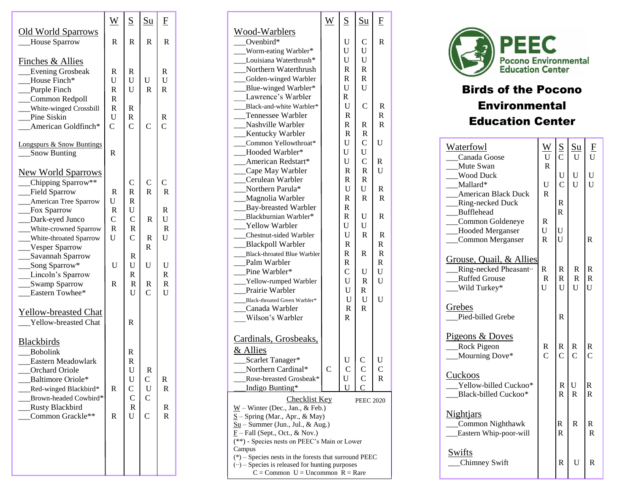|                                                                                                                                                                                                                                                                                                                        | W                                                                                          | $\underline{S}$                                                                                                                                         | $\underline{\mathrm{Su}}$                                                 | F                                                                             |
|------------------------------------------------------------------------------------------------------------------------------------------------------------------------------------------------------------------------------------------------------------------------------------------------------------------------|--------------------------------------------------------------------------------------------|---------------------------------------------------------------------------------------------------------------------------------------------------------|---------------------------------------------------------------------------|-------------------------------------------------------------------------------|
| <b>Old World Sparrows</b><br><b>House Sparrow</b>                                                                                                                                                                                                                                                                      | $\mathbf R$                                                                                | $\mathbf R$                                                                                                                                             | $\overline{R}$                                                            | $\mathbf R$                                                                   |
| <b>Finches &amp; Allies</b><br>_Evening Grosbeak<br>House Finch*<br>Purple Finch<br>__Common Redpoll<br>White-winged Crossbill<br>Pine Siskin<br>American Goldfinch*                                                                                                                                                   | R<br>U<br>$\mathbf R$<br>$\mathsf{R}$<br>$\mathbf R$<br>$\mathbf U$<br>$\overline{C}$      | R<br>U<br>U<br>$\mathbb{R}$<br>R<br>$\overline{C}$                                                                                                      | U<br>$\mathbf R$<br>$\overline{C}$                                        | R<br>U<br>$\overline{R}$<br>R<br>Ċ                                            |
| <b>Longspurs &amp; Snow Buntings</b><br>Snow Bunting                                                                                                                                                                                                                                                                   | $\mathbf R$                                                                                |                                                                                                                                                         |                                                                           |                                                                               |
| <b>New World Sparrows</b><br>__Chipping Sparrow**<br>__Field Sparrow<br><b>___</b> American Tree Sparrow<br>Fox Sparrow<br>__Dark-eyed Junco<br>White-crowned Sparrow<br>White-throated Sparrow<br>Vesper Sparrow<br>___Savannah Sparrow<br>__Song Sparrow*<br>Lincoln's Sparrow<br>__Swamp Sparrow<br>Eastern Towhee* | R<br>U<br>$\mathbb{R}$<br>$\mathsf{C}$<br>$\overline{\mathsf{R}}$<br>U<br>U<br>$\mathbf R$ | C<br>$\overline{R}$<br>$\overline{R}$<br>U<br>$\mathsf{C}$<br>$\mathbf R$<br>$\overline{C}$<br>$\mathbb{R}$<br>U<br>R<br>$\mathbb{R}$<br>$\overline{U}$ | C<br>$\overline{R}$<br>R<br>R<br>$\mathsf{R}$<br>U<br>R<br>$\overline{C}$ | С<br>$\mathbf R$<br>R<br>U<br>$\mathbf R$<br>U<br>U<br>R<br>$\mathbb{R}$<br>U |
| <b>Yellow-breasted Chat</b><br><b>Yellow-breasted Chat</b><br><b>Blackbirds</b><br>Bobolink<br>Eastern Meadowlark<br>Orchard Oriole<br>Baltimore Oriole*<br>Red-winged Blackbird*<br>Brown-headed Cowbird*<br>Rusty Blackbird<br>Common Grackle**                                                                      | R<br>R                                                                                     | $\mathsf{R}$<br>R<br>$\mathsf{R}$<br>U<br>U<br>$\mathbf C$<br>$\mathbf C$<br>$\mathbf R$<br>U                                                           | R<br>$\mathsf{C}$<br>$\mathbf U$<br>$\overline{C}$<br>$\overline{C}$      | R<br>$\mathbb{R}$<br>R<br>R                                                   |
|                                                                                                                                                                                                                                                                                                                        |                                                                                            |                                                                                                                                                         |                                                                           |                                                                               |

|                                                                                                                                                                                                                                                                               | W | S                                                 | <u>Su</u>                                         | F                                                         |  |
|-------------------------------------------------------------------------------------------------------------------------------------------------------------------------------------------------------------------------------------------------------------------------------|---|---------------------------------------------------|---------------------------------------------------|-----------------------------------------------------------|--|
| Wood-Warblers<br>Ovenbird $*$<br>__Worm-eating Warbler*<br>__Louisiana Waterthrush*<br>Northern Waterthrush                                                                                                                                                                   |   | U<br>U<br>$\mathbf U$<br>R                        | $\mathsf{C}$<br>U<br>$\mathbf U$<br>$\mathbf R$   | R                                                         |  |
| __Golden-winged Warbler<br>__Blue-winged Warbler*<br>Lawrence's Warbler                                                                                                                                                                                                       |   | $\mathbf R$<br>$\mathbf U$<br>R                   | $\mathbf R$<br>U                                  |                                                           |  |
| Black-and-white Warbler*<br>Tennessee Warbler<br>Nashville Warbler<br>__Kentucky Warbler                                                                                                                                                                                      |   | U<br>R<br>R<br>$\mathbb{R}$                       | $\mathsf{C}$<br>R<br>R                            | R<br>R<br>R                                               |  |
| __Common Yellowthroat*<br>-Booded Warbler*<br>__American Redstart*<br>__Cape May Warbler                                                                                                                                                                                      |   | U<br>U<br>U<br>${\tt R}$                          | $\mathsf{C}$<br>U<br>$\mathbf C$<br>$\mathbb{R}$  | U<br>R<br>U                                               |  |
| Cerulean Warbler<br>Northern Parula*<br>__Magnolia Warbler<br>__Bay-breasted Warbler                                                                                                                                                                                          |   | $\mathbf R$<br>U<br>$\mathbf R$<br>R              | $\mathbf R$<br>U<br>$\mathbb{R}$                  | R<br>$\mathbb{R}$                                         |  |
| Blackburnian Warbler*<br><b>Yellow Warbler</b><br><b>Chestnut-sided Warbler</b>                                                                                                                                                                                               |   | R<br>U<br>U                                       | U<br>U<br>$\mathbb{R}$                            | R<br>$\mathbf R$                                          |  |
| __Blackpoll Warbler<br>___Black-throated Blue Warbler<br>Palm Warbler<br>_Pine Warbler*                                                                                                                                                                                       |   | ${\mathbb R}$<br>R<br>$\mathbf R$<br>$\mathsf{C}$ | R<br>U                                            | $\mathbb{R}$<br>${\bf R}$<br>$\overline{\mathrm{R}}$<br>U |  |
| __Yellow-rumped Warbler<br>Prairie Warbler<br>____Black-throated Green Warbler*<br>Canada Warbler<br>Wilson's Warbler                                                                                                                                                         |   | $\mathbf U$<br>U<br>U<br>$\mathbf R$<br>R         | $\mathbb{R}$<br>$\mathbb{R}$<br>U<br>$\mathbb{R}$ | $\mathbf U$<br>U                                          |  |
| Cardinals, Grosbeaks,<br>& Allies                                                                                                                                                                                                                                             |   |                                                   |                                                   |                                                           |  |
| __Scarlet Tanager*<br>__Northern Cardinal*<br>Rose-breasted Grosbeak*<br>Indigo Bunting*                                                                                                                                                                                      | C | U<br>U                                            | $\mathbf C$                                       | U<br>C<br>R                                               |  |
| <b>Checklist Key</b><br><b>PEEC 2020</b><br>$\underline{W}$ – Winter (Dec., Jan., & Feb.)<br>$S -$ Spring (Mar., Apr., & May)<br>$Su$ – Summer (Jun., Jul., & Aug.)<br>$\underline{F}$ – Fall (Sept., Oct., & Nov.)<br>(**) - Species nests on PEEC's Main or Lower<br>Campus |   |                                                   |                                                   |                                                           |  |
| $(*)$ – Species nests in the forests that surround PEEC<br>$\left(\cdot\right)$ - Species is released for hunting purposes<br>$C = Common$ U = Uncommon R = Rare                                                                                                              |   |                                                   |                                                   |                                                           |  |



## Birds of the Pocono **Environmental** Education Center

| Waterfowl<br>Canada Goose                                                                | $\overline{W}$<br>$\mathbf U$                   | $rac{S}{C}$                            | $\underline{\mathrm{Su}}$<br>U | $\frac{\text{F}}{\text{U}}$               |
|------------------------------------------------------------------------------------------|-------------------------------------------------|----------------------------------------|--------------------------------|-------------------------------------------|
| Mute Swan<br><b>Wood Duck</b><br>Mallard*<br><b>American Black Duck</b>                  | $\overline{R}$<br>$\mathbf U$<br>$\overline{R}$ | ${\bf U}$<br>$\overline{C}$            | U<br>U                         | U<br>Ū                                    |
| _Ring-necked Duck<br>Bufflehead<br>Common Goldeneye                                      | R                                               | $\overline{\mathrm{R}}$<br>$\mathbf R$ |                                |                                           |
| _Hooded Merganser<br>Common Merganser                                                    | U<br>$\overline{R}$                             | U<br>$\overline{U}$                    |                                | $\mathbf R$                               |
| Grouse, Quail, & Allies<br>Ring-necked Pheasant…<br><b>Ruffed Grouse</b><br>Wild Turkey* | $\mathbf R$<br>$\mathbb{R}$<br>U                | R<br>$\mathbf R$<br>U                  | R<br>$\mathbf R$<br>U          | $\mathbf R$<br>$\overline{\text{R}}$<br>Ū |
| Grebes<br>Pied-billed Grebe                                                              |                                                 | R                                      |                                |                                           |
| Pigeons & Doves<br>__Rock Pigeon<br>Mourning Dove*                                       | R<br>Ċ                                          | R<br>$\mathcal{C}$                     | R<br>$\overline{C}$            | R<br>$\overline{C}$                       |
| Cuckoos<br>Yellow-billed Cuckoo*<br>Black-billed Cuckoo*                                 |                                                 | $\mathbb{R}$<br>$\mathbf R$            | U<br>$\mathbf R$               | $\mathbf R$<br>$\mathbf R$                |
| <b>Nightjars</b><br>__Common Nighthawk<br>Eastern Whip-poor-will                         |                                                 | R<br>$\mathbf R$                       | $\overline{\text{R}}$          | R<br>$\mathbf R$                          |
| Swifts<br>Chimney Swift                                                                  |                                                 | $\mathsf{R}$                           | U                              | $\mathbf R$                               |